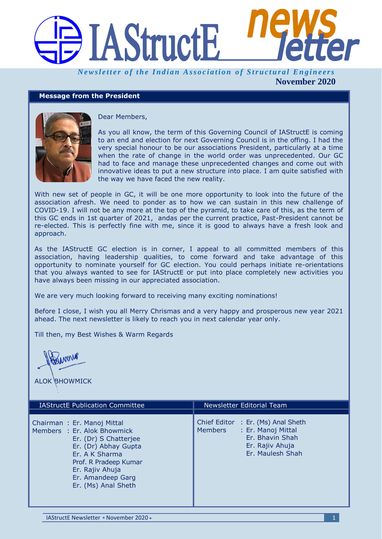

*Newsletter of the Indian Association of Structural Engineers* **November 2020**

# **Message from the President**



Dear Members,

As you all know, the term of this Governing Council of IAStructE is coming to an end and election for next Governing Council is in the offing. I had the very special honour to be our associations President, particularly at a time when the rate of change in the world order was unprecedented. Our GC had to face and manage these unprecedented changes and come out with innovative ideas to put a new structure into place. I am quite satisfied with the way we have faced the new reality.

With new set of people in GC, it will be one more opportunity to look into the future of the association afresh. We need to ponder as to how we can sustain in this new challenge of COVID-19. I will not be any more at the top of the pyramid, to take care of this, as the term of this GC ends in 1st quarter of 2021, andas per the current practice, Past-President cannot be re-elected. This is perfectly fine with me, since it is good to always have a fresh look and approach.

As the IAStructE GC election is in corner, I appeal to all committed members of this association, having leadership qualities, to come forward and take advantage of this opportunity to nominate yourself for GC election. You could perhaps initiate re-orientations that you always wanted to see for IAStructE or put into place completely new activities you have always been missing in our appreciated association.

We are very much looking forward to receiving many exciting nominations!

Before I close, I wish you all Merry Chrismas and a very happy and prosperous new year 2021 ahead. The next newsletter is likely to reach you in next calendar year only.

Till then, my Best Wishes & Warm Regards

ALOK BHOWMICK

| <b>IAStructE</b> Publication Committee                                                                                                                                                                               | <b>Newsletter Editorial Team</b>                                                                                                     |
|----------------------------------------------------------------------------------------------------------------------------------------------------------------------------------------------------------------------|--------------------------------------------------------------------------------------------------------------------------------------|
| Chairman: Er. Manoj Mittal<br>Members : Er. Alok Bhowmick<br>Er. (Dr) S Chatterjee<br>Er. (Dr) Abhay Gupta<br>Fr. A K Sharma<br>Prof. R Pradeep Kumar<br>Er. Rajiv Ahuja<br>Er. Amandeep Garg<br>Er. (Ms) Anal Sheth | Chief Editor : Er. (Ms) Anal Sheth<br>: Er. Manoj Mittal<br><b>Members</b><br>Er. Bhavin Shah<br>Er. Rajiv Ahuja<br>Er. Maulesh Shah |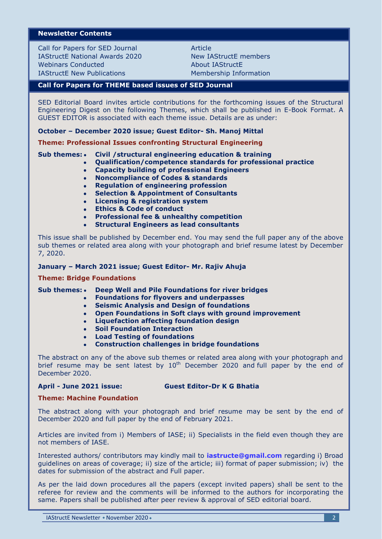# **Newsletter Contents**

Call for Papers for SED Journal IAStructE National Awards 2020 Webinars Conducted IAStructE New Publications

Article New IAStructE members About IAStructE Membership Information

# **Call for Papers for THEME based issues of SED Journal**

SED Editorial Board invites article contributions for the forthcoming issues of the Structural Engineering Digest on the following Themes, which shall be published in E-Book Format. A GUEST EDITOR is associated with each theme issue. Details are as under:

### **October – December 2020 issue; Guest Editor- Sh. Manoj Mittal**

# **Theme: Professional Issues confronting Structural Engineering**

### **Sub themes: • Civil /structural engineering education & training**

- **Qualification/competence standards for professional practice**
- **Capacity building of professional Engineers**  $\bullet$
- **Noncompliance of Codes & standards**
- **Regulation of engineering profession**
- **Selection & Appointment of Consultants**
- **Licensing & registration system**
- **Ethics & Code of conduct**
- **Professional fee & unhealthy competition**
- **Structural Engineers as lead consultants**

This issue shall be published by December end. You may send the full paper any of the above sub themes or related area along with your photograph and brief resume latest by December 7, 2020.

### **January – March 2021 issue; Guest Editor- Mr. Rajiv Ahuja**

# **Theme: Bridge Foundations**

# **Sub themes: • Deep Well and Pile Foundations for river bridges**

- **Foundations for flyovers and underpasses**
- **Seismic Analysis and Design of foundations**  $\bullet$
- **Open Foundations in Soft clays with ground improvement**
- **Liquefaction affecting foundation design**
- **Soil Foundation Interaction**
- **Load Testing of foundations**
- **Construction challenges in bridge foundations**

The abstract on any of the above sub themes or related area along with your photograph and brief resume may be sent latest by  $10^{th}$  December 2020 and full paper by the end of December 2020.

#### **April - June 2021 issue: Guest Editor-Dr K G Bhatia**

#### **Theme: Machine Foundation**

The abstract along with your photograph and brief resume may be sent by the end of December 2020 and full paper by the end of February 2021.

Articles are invited from i) Members of IASE; ii) Specialists in the field even though they are not members of IASE.

Interested authors/ contributors may kindly mail to **[iastructe@gmail.com](mailto:iastructe@gmail.com)** regarding i) Broad guidelines on areas of coverage; ii) size of the article; iii) format of paper submission; iv) the dates for submission of the abstract and Full paper.

As per the laid down procedures all the papers (except invited papers) shall be sent to the referee for review and the comments will be informed to the authors for incorporating the same. Papers shall be published after peer review & approval of SED editorial board.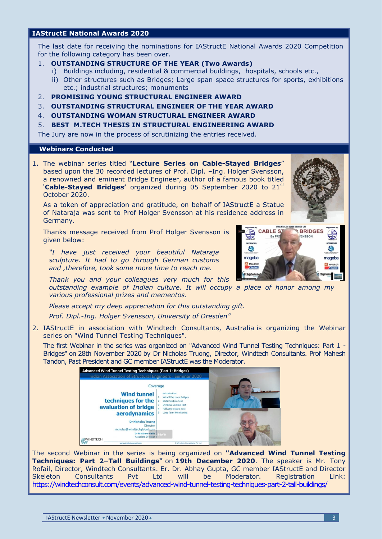# **IAStructE National Awards 2020**

The last date for receiving the nominations for IAStructE National Awards 2020 Competition for the following category has been over.

- 1. **OUTSTANDING STRUCTURE OF THE YEAR (Two Awards)**
	- i) Buildings including, residential & commercial buildings, hospitals, schools etc.,
	- ii) Other structures such as Bridges; Large span space structures for sports, exhibitions etc.; industrial structures; monuments
- 2. **PROMISING YOUNG STRUCTURAL ENGINEER AWARD**
- 3. **OUTSTANDING STRUCTURAL ENGINEER OF THE YEAR AWARD**
- 4. **OUTSTANDING WOMAN STRUCTURAL ENGINEER AWARD**
- 5. **BEST M.TECH THESIS IN STRUCTURAL ENGINEERING AWARD**

The Jury are now in the process of scrutinizing the entries received.

# **Webinars Conducted**

1. The webinar series titled "Lecture Series on Cable-Stayed Bridges" based upon the 30 recorded lectures of Prof. Dipl. –Ing. Holger Svensson, a renowned and eminent Bridge Engineer, author of a famous book titled **'Cable-Stayed Bridges'** organized during 05 September 2020 to 21<sup>st</sup> October 2020.

As a token of appreciation and gratitude, on behalf of IAStructE a Statue of Nataraja was sent to Prof Holger Svensson at his residence address in Germany.

Thanks message received from Prof Holger Svensson is given below:

*"I have just received your beautiful Nataraja sculpture. It had to go through German customs and ,therefore, took some more time to reach me.*

*Thank you and your colleagues very much for this outstanding example of Indian culture. It will occupy a place of honor among my various professional prizes and mementos.*

*Please accept my deep appreciation for this outstanding gift.*

*Prof. Dipl.-Ing. Holger Svensson, University of Dresden"*

2. IAStructE in association with Windtech Consultants, Australia is organizing the Webinar series on "Wind Tunnel Testing Techniques".

The first Webinar in the series was organized on "Advanced Wind Tunnel Testing Techniques: Part 1 - Bridges" on 28th November 2020 by Dr Nicholas Truong, Director, Windtech Consultants. Prof Mahesh Tandon, Past President and GC member IAStructE was the Moderator.

The second Webinar in the series is being organized on **"Advanced Wind Tunnel Testing Techniques: Part 2–Tall Buildings"** on **19th December 2020**. The speaker is Mr. Tony Rofail, Director, Windtech Consultants. Er. Dr. Abhay Gupta, GC member IAStructE and Director Skeleton Consultants Pvt Ltd will be Moderator. Registration Link: <https://windtechconsult.com/events/advanced-wind-tunnel-testing-techniques-part-2-tall-buildings/>

 $\bigoplus$ **CABLE S RRIDGES**  $\bigoplus$ **FNSSON** S S mageba mageba A MAURE **A.S. P. Single Co** 



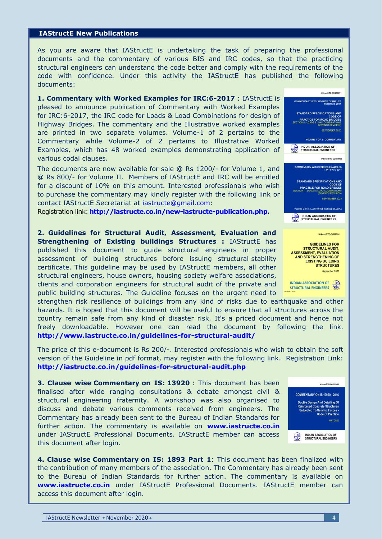### **IAStructE New Publications**

As you are aware that IAStructE is undertaking the task of preparing the professional documents and the commentary of various BIS and IRC codes, so that the practicing structural engineers can understand the code better and comply with the requirements of the code with confidence. Under this activity the IAStructE has published the following documents:

**1. Commentary with Worked Examples for IRC:6-2017** : IAStructE is pleased to announce publication of Commentary with Worked Examples for IRC:6-2017, the IRC code for Loads & Load Combinations for design of Highway Bridges. The commentary and the Illustrative worked examples are printed in two separate volumes. Volume-1 of 2 pertains to the Commentary while Volume-2 of 2 pertains to Illustrative Worked Examples, which has 48 worked examples demonstrating application of various codal clauses.

The documents are now available for sale @ Rs 1200/- for Volume 1, and @ Rs 800/- for Volume II. Members of IAStructE and IRC will be entitled for a discount of 10% on this amount. Interested professionals who wish to purchase the commentary may kindly register with the following link or contact IAStructE Secretariat at [iastructe@gmail.com:](mailto:iastructe@gmail.com)

Registration link: **[http://iastructe.co.in/new-iastructe-publication.php.](http://iastructe.co.in/new-iastructe-publication.php)**

**2. Guidelines for Structural Audit, Assessment, Evaluation and Strengthening of Existing buildings Structures : IAStructE has** published this document to guide structural engineers in proper assessment of building structures before issuing structural stability certificate. This guideline may be used by IAStructE members, all other structural engineers, house owners, housing society welfare associations, clients and corporation engineers for structural audit of the private and public building structures. The Guideline focuses on the urgent need to

strengthen risk resilience of buildings from any kind of risks due to earthquake and other hazards. It is hoped that this document will be useful to ensure that all structures across the country remain safe from any kind of disaster risk. It's a priced document and hence not freely downloadable. However one can read the document by following the link. **<http://www.iastructe.co.in/guidelines-for-structural-audit/>**

The price of this e-document is Rs 200/-. Interested professionals who wish to obtain the soft version of the Guideline in pdf format, may register with the following link. Registration Link: **<http://iastructe.co.in/guidelines-for-structural-audit.php>**

**3. Clause wise Commentary on IS: 13920** : This document has been finalised after wide ranging consultations & debate amongst civil & structural engineering fraternity. A workshop was also organised to discuss and debate various comments received from engineers. The Commentary has already been sent to the Bureau of Indian Standards for further action. The commentary is available on **[www.iastructe.co.in](http://www.iastructe.co.in/)** under IAStructE Professional Documents. IAStructE member can access this document after login.

**4. Clause wise Commentary on IS: 1893 Part 1**: This document has been finalized with the contribution of many members of the association. The Commentary has already been sent to the Bureau of Indian Standards for further action. The commentary is available on **[www.iastructe.co.in](http://www.iastructe.co.in/)** under IAStructE Professional Documents. IAStructE member can access this document after login.



September 2020

INDIAN ASSOCIATION OF

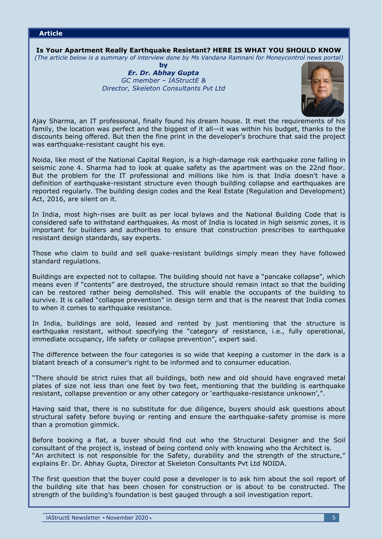# **Article**

**Is Your Apartment Really Earthquake Resistant? HERE IS WHAT YOU SHOULD KNOW** *(The article below is a summary of interview done by Ms Vandana Ramnani for Moneycontrol news portal)* 

#### **by** *Er. Dr. Abhay Gupta GC member – IAStructE & Director, Skeleton Consultants Pvt Ltd*

Ajay Sharma, an IT professional, finally found his dream house. It met the requirements of his family, the location was perfect and the biggest of it all—it was within his budget, thanks to the discounts being offered. But then the fine print in the developer's brochure that said the project was earthquake-resistant caught his eye.

Noida, like most of the National Capital Region, is a high-damage risk earthquake zone falling in seismic zone 4. Sharma had to look at quake safety as the apartment was on the 22nd floor. But the problem for the IT professional and millions like him is that India doesn't have a definition of earthquake-resistant structure even though building collapse and earthquakes are reported regularly. The building design codes and the Real Estate (Regulation and Development) Act, 2016, are silent on it.

In India, most high-rises are built as per local bylaws and the National Building Code that is considered safe to withstand earthquakes. As most of India is located in high seismic zones, it is important for builders and authorities to ensure that construction prescribes to earthquake resistant design standards, say experts.

Those who claim to build and sell quake-resistant buildings simply mean they have followed standard regulations.

Buildings are expected not to collapse. The building should not have a "pancake collapse", which means even if "contents" are destroyed, the structure should remain intact so that the building can be restored rather being demolished. This will enable the occupants of the building to survive. It is called "collapse prevention" in design term and that is the nearest that India comes to when it comes to earthquake resistance.

In India, buildings are sold, leased and rented by just mentioning that the structure is earthquake resistant, without specifying the "category of resistance, i.e., fully operational, immediate occupancy, life safety or collapse prevention", expert said.

The difference between the four categories is so wide that keeping a customer in the dark is a blatant breach of a consumer's right to be informed and to consumer education.

"There should be strict rules that all buildings, both new and old should have engraved metal plates of size not less than one feet by two feet, mentioning that the building is earthquake resistant, collapse prevention or any other category or 'earthquake-resistance unknown',".

Having said that, there is no substitute for due diligence, buyers should ask questions about structural safety before buying or renting and ensure the earthquake-safety promise is more than a promotion gimmick.

Before booking a flat, a buyer should find out who the Structural Designer and the Soil consultant of the project is, instead of being contend only with knowing who the Architect is. "An architect is not responsible for the Safety, durability and the strength of the structure," explains Er. Dr. Abhay Gupta, Director at Skeleton Consultants Pvt Ltd NOIDA.

The first question that the buyer could pose a developer is to ask him about the soil report of the building site that has been chosen for construction or is about to be constructed. The strength of the building's foundation is best gauged through a soil investigation report.

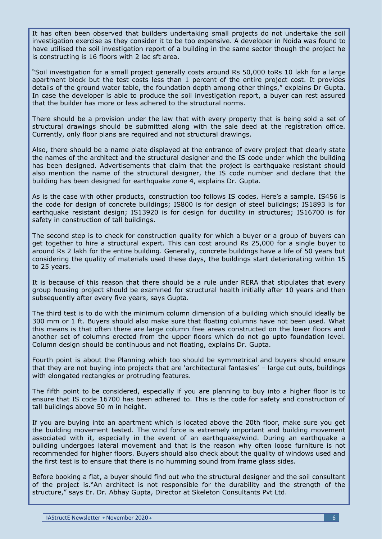It has often been observed that builders undertaking small projects do not undertake the soil investigation exercise as they consider it to be too expensive. A developer in Noida was found to have utilised the soil investigation report of a building in the same sector though the project he is constructing is 16 floors with 2 lac sft area.

―Soil investigation for a small project generally costs around Rs 50,000 toRs 10 lakh for a large apartment block but the test costs less than 1 percent of the entire project cost. It provides details of the ground water table, the foundation depth among other things," explains Dr Gupta. In case the developer is able to produce the soil investigation report, a buyer can rest assured that the builder has more or less adhered to the structural norms.

There should be a provision under the law that with every property that is being sold a set of structural drawings should be submitted along with the sale deed at the registration office. Currently, only floor plans are required and not structural drawings.

Also, there should be a name plate displayed at the entrance of every project that clearly state the names of the architect and the structural designer and the IS code under which the building has been designed. Advertisements that claim that the project is earthquake resistant should also mention the name of the structural designer, the IS code number and declare that the building has been designed for earthquake zone 4, explains Dr. Gupta.

As is the case with other products, construction too follows IS codes. Here's a sample. IS456 is the code for design of concrete buildings; IS800 is for design of steel buildings; IS1893 is for earthquake resistant design; IS13920 is for design for ductility in structures; IS16700 is for safety in construction of tall buildings.

The second step is to check for construction quality for which a buyer or a group of buyers can get together to hire a structural expert. This can cost around Rs 25,000 for a single buyer to around Rs 2 lakh for the entire building. Generally, concrete buildings have a life of 50 years but considering the quality of materials used these days, the buildings start deteriorating within 15 to 25 years.

It is because of this reason that there should be a rule under RERA that stipulates that every group housing project should be examined for structural health initially after 10 years and then subsequently after every five years, says Gupta.

The third test is to do with the minimum column dimension of a building which should ideally be 300 mm or 1 ft. Buyers should also make sure that floating columns have not been used. What this means is that often there are large column free areas constructed on the lower floors and another set of columns erected from the upper floors which do not go upto foundation level. Column design should be continuous and not floating, explains Dr. Gupta.

Fourth point is about the Planning which too should be symmetrical and buyers should ensure that they are not buying into projects that are 'architectural fantasies' - large cut outs, buildings with elongated rectangles or protruding features.

The fifth point to be considered, especially if you are planning to buy into a higher floor is to ensure that IS code 16700 has been adhered to. This is the code for safety and construction of tall buildings above 50 m in height.

If you are buying into an apartment which is located above the 20th floor, make sure you get the building movement tested. The wind force is extremely important and building movement associated with it, especially in the event of an earthquake/wind. During an earthquake a building undergoes lateral movement and that is the reason why often loose furniture is not recommended for higher floors. Buyers should also check about the quality of windows used and the first test is to ensure that there is no humming sound from frame glass sides.

Before booking a flat, a buyer should find out who the structural designer and the soil consultant of the project is. An architect is not responsible for the durability and the strength of the structure," says Er. Dr. Abhay Gupta, Director at Skeleton Consultants Pvt Ltd.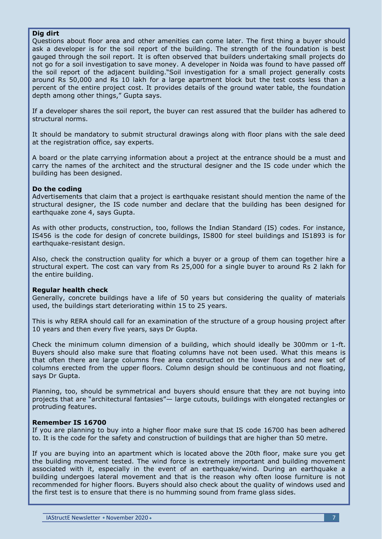# **Dig dirt**

Questions about floor area and other amenities can come later. The first thing a buyer should ask a developer is for the soil report of the building. The strength of the foundation is best gauged through the soil report. It is often observed that builders undertaking small projects do not go for a soil investigation to save money. A developer in Noida was found to have passed off the soil report of the adjacent building."Soil investigation for a small project generally costs around Rs 50,000 and Rs 10 lakh for a large apartment block but the test costs less than a percent of the entire project cost. It provides details of the ground water table, the foundation depth among other things," Gupta says.

If a developer shares the soil report, the buyer can rest assured that the builder has adhered to structural norms.

It should be mandatory to submit structural drawings along with floor plans with the sale deed at the registration office, say experts.

A board or the plate carrying information about a project at the entrance should be a must and carry the names of the architect and the structural designer and the IS code under which the building has been designed.

# **Do the coding**

Advertisements that claim that a project is earthquake resistant should mention the name of the structural designer, the IS code number and declare that the building has been designed for earthquake zone 4, says Gupta.

As with other products, construction, too, follows the Indian Standard (IS) codes. For instance, IS456 is the code for design of concrete buildings, IS800 for steel buildings and IS1893 is for earthquake-resistant design.

Also, check the construction quality for which a buyer or a group of them can together hire a structural expert. The cost can vary from Rs 25,000 for a single buyer to around Rs 2 lakh for the entire building.

# **Regular health check**

Generally, concrete buildings have a life of 50 years but considering the quality of materials used, the buildings start deteriorating within 15 to 25 years.

This is why RERA should call for an examination of the structure of a group housing project after 10 years and then every five years, says Dr Gupta.

Check the minimum column dimension of a building, which should ideally be 300mm or 1-ft. Buyers should also make sure that floating columns have not been used. What this means is that often there are large columns free area constructed on the lower floors and new set of columns erected from the upper floors. Column design should be continuous and not floating, says Dr Gupta.

Planning, too, should be symmetrical and buyers should ensure that they are not buying into projects that are "architectural fantasies"— large cutouts, buildings with elongated rectangles or protruding features.

# **Remember IS 16700**

If you are planning to buy into a higher floor make sure that IS code 16700 has been adhered to. It is the code for the safety and construction of buildings that are higher than 50 metre.

If you are buying into an apartment which is located above the 20th floor, make sure you get the building movement tested. The wind force is extremely important and building movement associated with it, especially in the event of an earthquake/wind. During an earthquake a building undergoes lateral movement and that is the reason why often loose furniture is not recommended for higher floors. Buyers should also check about the quality of windows used and the first test is to ensure that there is no humming sound from frame glass sides.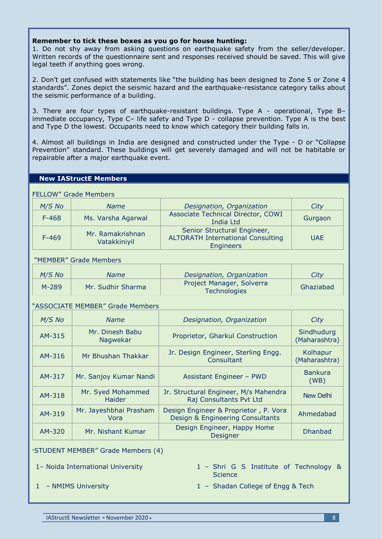# **Remember to tick these boxes as you go for house hunting:**

1. Do not shy away from asking questions on earthquake safety from the seller/developer. Written records of the questionnaire sent and responses received should be saved. This will give legal teeth if anything goes wrong.

2. Don't get confused with statements like "the building has been designed to Zone 5 or Zone 4 standards". Zones depict the seismic hazard and the earthquake-resistance category talks about the seismic performance of a building.

3. There are four types of earthquake-resistant buildings. Type A - operational, Type B– immediate occupancy, Type C- life safety and Type D - collapse prevention. Type A is the best and Type D the lowest. Occupants need to know which category their building falls in.

4. Almost all buildings in India are designed and constructed under the Type - D or "Collapse Prevention" standard. These buildings will get severely damaged and will not be habitable or repairable after a major earthquake event.

# **New IAStructE Members**

### **FELLOW"** Grade Members

| $M/S$ No | <b>Name</b>                      | Designation, Organization                                                                   | City       |
|----------|----------------------------------|---------------------------------------------------------------------------------------------|------------|
| $F-468$  | Ms. Varsha Agarwal               | Associate Technical Director, COWI<br>India Ltd                                             | Gurgaon    |
| $F-469$  | Mr. Ramakrishnan<br>Vatakkiniyil | Senior Structural Engineer,<br><b>ALTORATH International Consulting</b><br><b>Engineers</b> | <b>UAE</b> |

### "MEMBER" Grade Members

| $M/S$ No | <b>Name</b>       | Designation, Organization                        | City      |
|----------|-------------------|--------------------------------------------------|-----------|
| M-289    | Mr. Sudhir Sharma | Project Manager, Solverra<br><b>Technologies</b> | Ghaziabad |

# "ASSOCIATE MEMBER" Grade Members

| $M/S$ No | <b>Name</b>                    | Designation, Organization                                                 | City                        |
|----------|--------------------------------|---------------------------------------------------------------------------|-----------------------------|
| AM-315   | Mr. Dinesh Babu<br>Nagwekar    | Proprietor, Gharkul Construction                                          | Sindhudurg<br>(Maharashtra) |
| AM-316   | Mr Bhushan Thakkar             | Jr. Design Engineer, Sterling Engg.<br>Consultant                         | Kolhapur<br>(Maharashtra)   |
| AM-317   | Mr. Sanjoy Kumar Nandi         | Assistant Engineer - PWD                                                  | <b>Bankura</b><br>(WB)      |
| AM-318   | Mr. Syed Mohammed<br>Haider    | Jr. Structural Engineer, M/s Mahendra<br>Raj Consultants Pvt Ltd          | <b>New Delhi</b>            |
| AM-319   | Mr. Jayeshbhai Prasham<br>Vora | Design Engineer & Proprietor, P. Vora<br>Design & Engineering Consultants | Ahmedabad                   |
| AM-320   | Mr. Nishant Kumar              | Design Engineer, Happy Home<br><b>Designer</b>                            | <b>Dhanbad</b>              |

―STUDENT MEMBER‖ Grade Members (4)

- 
- 1– Noida International University 1 Shri G S Institute of Technology & **Science**
- 
- 1 NMIMS University 1 Shadan College of Engg & Tech